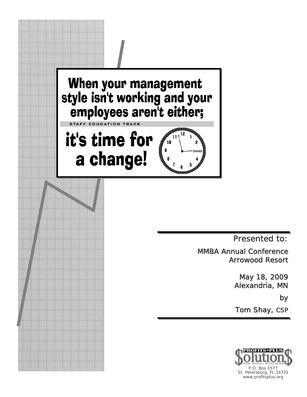

Presented to:

MMBA Annual Conference Arrowood Resort

> May 18, 2009 Alexandria, MN

> > by

Tom Shay, CSP

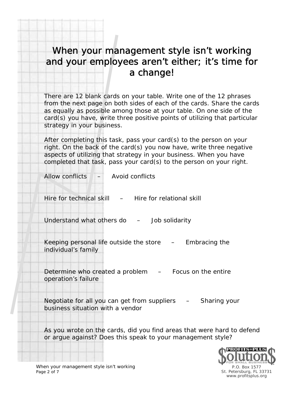## When your management style isn't working and your employees aren't either; it's time for a change!

There are 12 blank cards on your table. Write one of the 12 phrases from the next page on both sides of each of the cards. Share the cards as equally as possible among those at your table. On one side of the card(s) you have, write three positive points of utilizing that particular strategy in your business.

After completing this task, pass your card(s) to the person on your right. On the back of the card(s) you now have, write three negative aspects of utilizing that strategy in your business. When you have completed that task, pass your card(s) to the person on your right.

Allow conflicts – Avoid conflicts

Hire for technical skill  $-$  Hire for relational skill

Understand what others do - Job solidarity

Keeping personal life outside the store – Embracing the individual's family

Determine who created a problem  $-$  Focus on the entire operation's failure

Negotiate for all you can get from suppliers - Sharing your business situation with a vendor

As you wrote on the cards, did you find areas that were hard to defend or argue against? Does this speak to your management style?

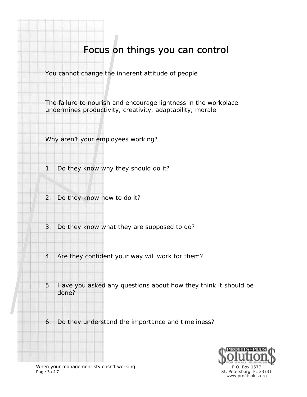## Focus on things you can control

You cannot change the inherent attitude of people

The failure to nourish and encourage lightness in the workplace undermines productivity, creativity, adaptability, morale

Why aren't your employees working?

- 1. Do they know why they should do it?
- 2. Do they know how to do it?
- 3. Do they know what they are supposed to do?
- 4. Are they confident your way will work for them?
- 5. Have you asked any questions about how they think it should be done?
- 6. Do they understand the importance and timeliness?



When your management style isn't working Page 3 of 7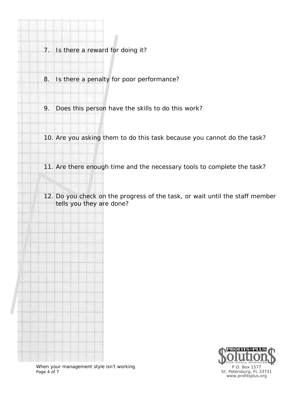- 7. Is there a reward for doing it?
- 8. Is there a penalty for poor performance?
- 9. Does this person have the skills to do this work?

10. Are you asking them to do this task because you cannot do the task?

- 11. Are there enough time and the necessary tools to complete the task?
- 12. Do you check on the progress of the task, or wait until the staff member tells you they are done?

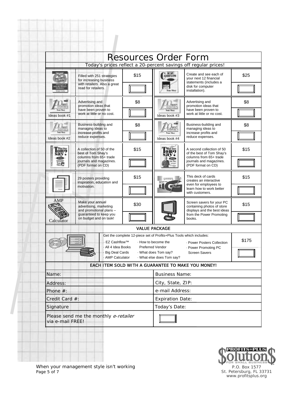|                                                                                                                                                                  |                                                                                                              |      | <b>Resources Order Form</b>                                                                     |                                                                                                                         |       |
|------------------------------------------------------------------------------------------------------------------------------------------------------------------|--------------------------------------------------------------------------------------------------------------|------|-------------------------------------------------------------------------------------------------|-------------------------------------------------------------------------------------------------------------------------|-------|
|                                                                                                                                                                  |                                                                                                              |      |                                                                                                 | Today's prices reflect a 20-percent savings off regular prices!                                                         |       |
|                                                                                                                                                                  | Filled with 251 strategies<br>for increasing business<br>with retailers. Also a great<br>read for retailers. | \$15 | <b>EZ</b><br>SHFLOW                                                                             | Create and see each of<br>vour next 12 financial<br>statements (includes a<br>disk for computer<br>installation).       | \$25  |
| Ideas book #1                                                                                                                                                    | Advertising and<br>promotion ideas that<br>have been proven to<br>work at little or no cost.                 | \$8  | Ideas book #3                                                                                   | Advertising and<br>promotion ideas that<br>have been proven to<br>work at little or no cost.                            | \$8   |
| Ideas book #2                                                                                                                                                    | Business-building and<br>managing ideas to<br>increase profits and<br>reduce expenses.                       | \$8  | Ideas book #4                                                                                   | Business-building and<br>managing ideas to<br>increase profits and<br>reduce expenses.                                  | \$8   |
|                                                                                                                                                                  | A collection of 50 of the<br>best of Tom Shay's<br>columns from 65+ trade<br>journals and magazines.         | \$15 |                                                                                                 | A second collection of 50<br>of the best of Tom Shay's<br>columns from 65+ trade<br>journals and magazines.             | \$15  |
|                                                                                                                                                                  | (PDF format on CD)<br>29 posters providing<br>inspiration, education and<br>motivation.                      | \$15 |                                                                                                 | (PDF format on CD)<br>This deck of cards<br>creates an interactive<br>even for employees to<br>learn how to work better | \$15  |
| AMP                                                                                                                                                              | Make your annual<br>advertising, marketing<br>and promotional plans -                                        | \$30 |                                                                                                 | with customers.<br>Screen savers for your PC<br>containing photos of store<br>displays and the best ideas               | \$15  |
| Calculator                                                                                                                                                       | guaranteed to keep you<br>on budget and on task!                                                             |      |                                                                                                 | from the Power Promoting<br>books.                                                                                      |       |
|                                                                                                                                                                  |                                                                                                              |      | <b>VALUE PACKAGE</b>                                                                            |                                                                                                                         |       |
| Get the complete 12-piece set of Profits+Plus Tools which includes:<br><b>EZ Cashflow™</b><br>All 4 Idea Books<br><b>Big Deal Cards</b><br><b>AMP Calculator</b> |                                                                                                              |      | - How to become the<br><b>Preferred Vendor</b><br>What does Tom say?<br>What else does Tom say? | · Power Posters Collection<br>- Power Promoting PC<br><b>Screen Savers</b>                                              | \$175 |
|                                                                                                                                                                  |                                                                                                              |      |                                                                                                 | EACH ITEM SOLD WITH A GUARANTEE TO MAKE YOU MONEY!                                                                      |       |
| Name:                                                                                                                                                            |                                                                                                              |      | <b>Business Name:</b>                                                                           |                                                                                                                         |       |
| Address:                                                                                                                                                         |                                                                                                              |      | City, State, ZIP:                                                                               |                                                                                                                         |       |
| Phone #:                                                                                                                                                         |                                                                                                              |      | e-mail Address:                                                                                 |                                                                                                                         |       |
| Credit Card #:                                                                                                                                                   |                                                                                                              |      | <b>Expiration Date:</b>                                                                         |                                                                                                                         |       |
| Signature                                                                                                                                                        |                                                                                                              |      | Today's Date:                                                                                   |                                                                                                                         |       |
| Please send me the monthly e-retailer<br>via e-mail FREE!                                                                                                        |                                                                                                              |      |                                                                                                 |                                                                                                                         |       |

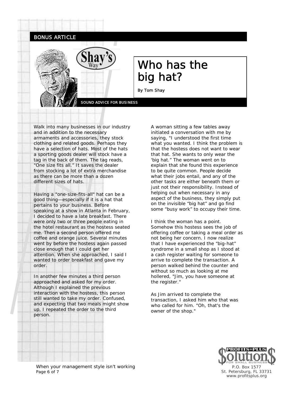

BONUS ARTICLE

## Who has the big hat?

By Tom Shay

SOUND ADVICE FOR BUSINESS

Walk into many businesses in our industry and in addition to the necessary armaments and accessories, they stock clothing and related goods. Perhaps they have a selection of hats. Most of the hats a sporting goods dealer will stock have a tag in the back of them. The tag reads, "One size fits all." It saves the dealer from stocking a lot of extra merchandise as there can be more than a dozen different sizes of hats.

Having a "one-size-fits-all" hat can be a good thing—especially if it is a hat that pertains to your business. Before speaking at a show in Atlanta in February, I decided to have a late breakfast. There were only two or three people eating in the hotel restaurant as the hostess seated me. Then a second person offered me coffee and orange juice. Several minutes went by before the hostess again passed close enough that I could get her attention. When she approached, I said I wanted to order breakfast and gave my order.

In another few minutes a third person approached and asked for my order. Although I explained the previous interaction with the hostess, this person still wanted to take my order. Confused, and expecting that two meals might show up, I repeated the order to the third person.

A woman sitting a few tables away initiated a conversation with me by saying, "I understood the first time what you wanted. I think the problem is that the hostess does not want to wear that hat. She wants to only wear the 'big hat." The woman went on to explain that she found this experience to be quite common. People decide what their jobs entail, and any of the other tasks are either beneath them or just not their responsibility. Instead of helping out when necessary in any aspect of the business, they simply put on the invisible "big hat" and go find some "busy work" to occupy their time.

I think the woman has a point. Somehow this hostess sees the job of offering coffee or taking a meal order as not being her concern. I now realize that I have experienced the "big-hat" syndrome in a small shop as I stood at a cash register waiting for someone to arrive to complete the transaction. A person walked behind the counter and without so much as looking at me hollered, "Jim, you have someone at the register."

As Jim arrived to complete the transaction, I asked him who that was who called for him. "Oh, that's the owner of the shop."



When your management style isn't working Page 6 of 7